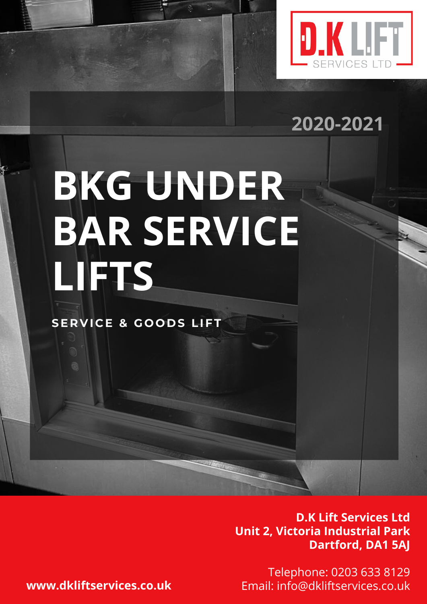

# **2020-2021**

# **BKG UNDER BAR SERVICE LIFTS**

**SE R V I C E & G O O D S LIFT**

**D.K Lift Services Ltd Unit 2, Victoria Industrial Park Dartford, DA1 5AJ**

Telephone: 0203 633 8129 **www.dkliftservices.co.uk** Email: info@dkliftservices.co.uk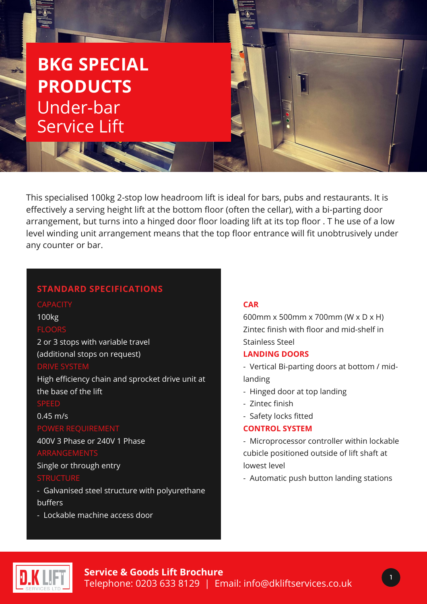# **BKG SPECIAL PRODUCTS** Under-bar Service Lift

This specialised 100kg 2-stop low headroom lift is ideal for bars, pubs and restaurants. It is effectively a serving height lift at the bottom floor (often the cellar), with a bi-parting door arrangement, but turns into a hinged door floor loading lift at its top floor . T he use of a low level winding unit arrangement means that the top floor entrance will fit unobtrusively under any counter or bar.

#### **STANDARD SPECIFICATIONS**

#### 100kg

#### FLOOR:

2 or 3 stops with variable travel (additional stops on request)

High efficiency chain and sprocket drive unit at the base of the lift

#### SPEED

## 0.45 m/s

400V 3 Phase or 240V 1 Phase

#### ARRANGEMENTS

Single or through entry

#### **STRUCTURE**

- Galvanised steel structure with polyurethane buffers

- Lockable machine access door

#### **CAR**

600mm x 500mm x 700mm (W x D x H) Zintec finish with floor and mid-shelf in Stainless Steel

#### **LANDING DOORS**

- Vertical Bi-parting doors at bottom / midlanding
- Hinged door at top landing
- Zintec finish
- Safety locks fitted

#### **CONTROL SYSTEM**

- Microprocessor controller within lockable cubicle positioned outside of lift shaft at lowest level
- Automatic push button landing stations



1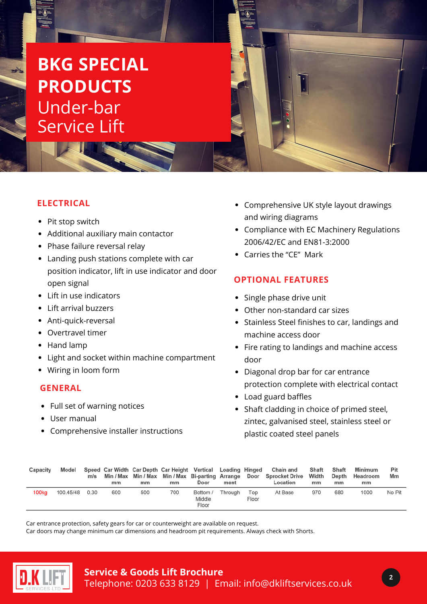# **BKG SPECIAL PRODUCTS** Under-bar Service Lift

## **ELECTRICAL**

- Pit stop switch
- Additional auxiliary main contactor
- Phase failure reversal relay
- Landing push stations complete with car position indicator, lift in use indicator and door open signal
- Lift in use indicators
- Lift arrival buzzers
- Anti-quick-reversal
- Overtravel timer
- Hand lamp
- Light and socket within machine compartment
- Wiring in loom form

#### **GENERAL**

- Full set of warning notices
- User manual
- Comprehensive installer instructions
- Comprehensive UK style layout drawings and wiring diagrams
- Compliance with EC Machinery Regulations 2006/42/EC and EN81-3:2000
- Carries the "CE" Mark

### **OPTIONAL FEATURES**

- Single phase drive unit
- Other non-standard car sizes
- Stainless Steel finishes to car, landings and machine access door
- Fire rating to landings and machine access door
- Diagonal drop bar for car entrance protection complete with electrical contact
- Load guard baffles
- Shaft cladding in choice of primed steel, zintec, galvanised steel, stainless steel or plastic coated steel panels

| Capacity          | Model     | m/s  | mm  | mm  | Speed Car Width Car Depth Car Height Vertical Loading Hinged<br>mm | Door                        | ment    |              | Chain and<br>Min / Max Min / Max Min / Max Bi-parting Arrange Door Sprocket Drive<br>Location | Shaft<br>Width<br>mm | Shaft<br>Depth<br>mm | Minimum<br>Headroom<br>mm | Pit<br>Mm |
|-------------------|-----------|------|-----|-----|--------------------------------------------------------------------|-----------------------------|---------|--------------|-----------------------------------------------------------------------------------------------|----------------------|----------------------|---------------------------|-----------|
| 100 <sub>kg</sub> | 100.45/48 | 0.30 | 600 | 500 | 700                                                                | Bottom /<br>Middle<br>Floor | Throuah | Top<br>Floor | At Base                                                                                       | 970                  | 680                  | 1000                      | No Pit    |

Car entrance protection, safety gears for car or counterweight are available on request.

Car doors may change minimum car dimensions and headroom pit requirements. Always check with Shorts.